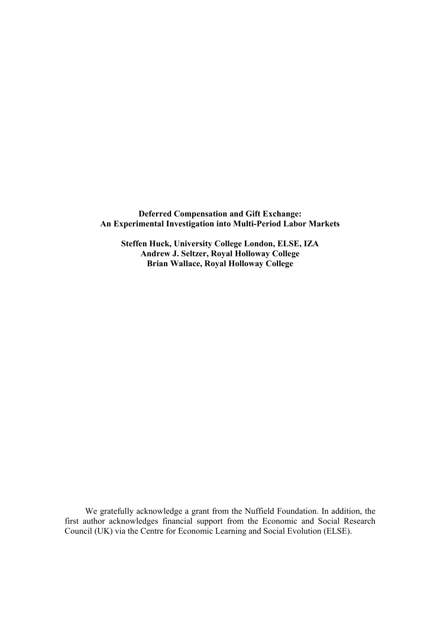**Deferred Compensation and Gift Exchange: An Experimental Investigation into Multi-Period Labor Markets** 

**Steffen Huck, University College London, ELSE, IZA Andrew J. Seltzer, Royal Holloway College Brian Wallace, Royal Holloway College** 

We gratefully acknowledge a grant from the Nuffield Foundation. In addition, the first author acknowledges financial support from the Economic and Social Research Council (UK) via the Centre for Economic Learning and Social Evolution (ELSE).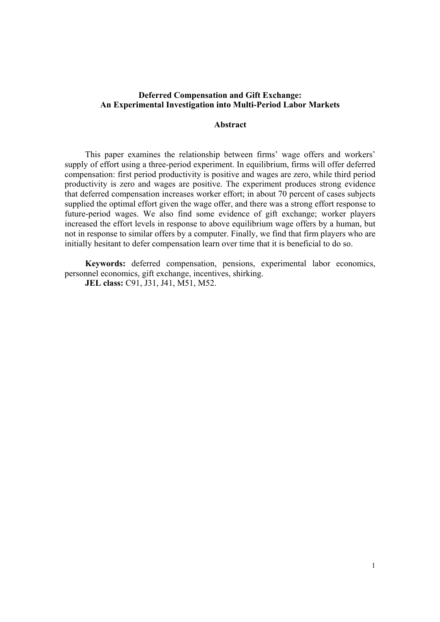# **Deferred Compensation and Gift Exchange: An Experimental Investigation into Multi-Period Labor Markets**

## **Abstract**

This paper examines the relationship between firms' wage offers and workers' supply of effort using a three-period experiment. In equilibrium, firms will offer deferred compensation: first period productivity is positive and wages are zero, while third period productivity is zero and wages are positive. The experiment produces strong evidence that deferred compensation increases worker effort; in about 70 percent of cases subjects supplied the optimal effort given the wage offer, and there was a strong effort response to future-period wages. We also find some evidence of gift exchange; worker players increased the effort levels in response to above equilibrium wage offers by a human, but not in response to similar offers by a computer. Finally, we find that firm players who are initially hesitant to defer compensation learn over time that it is beneficial to do so.

**Keywords:** deferred compensation, pensions, experimental labor economics, personnel economics, gift exchange, incentives, shirking.

**JEL class:** C91, J31, J41, M51, M52.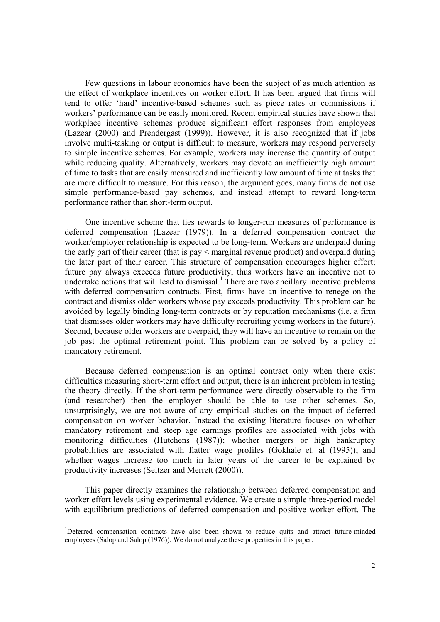Few questions in labour economics have been the subject of as much attention as the effect of workplace incentives on worker effort. It has been argued that firms will tend to offer 'hard' incentive-based schemes such as piece rates or commissions if workers' performance can be easily monitored. Recent empirical studies have shown that workplace incentive schemes produce significant effort responses from employees (Lazear (2000) and Prendergast (1999)). However, it is also recognized that if jobs involve multi-tasking or output is difficult to measure, workers may respond perversely to simple incentive schemes. For example, workers may increase the quantity of output while reducing quality. Alternatively, workers may devote an inefficiently high amount of time to tasks that are easily measured and inefficiently low amount of time at tasks that are more difficult to measure. For this reason, the argument goes, many firms do not use simple performance-based pay schemes, and instead attempt to reward long-term performance rather than short-term output.

One incentive scheme that ties rewards to longer-run measures of performance is deferred compensation (Lazear (1979)). In a deferred compensation contract the worker/employer relationship is expected to be long-term. Workers are underpaid during the early part of their career (that is pay < marginal revenue product) and overpaid during the later part of their career. This structure of compensation encourages higher effort; future pay always exceeds future productivity, thus workers have an incentive not to undertake actions that will lead to dismissal.<sup>1</sup> There are two ancillary incentive problems with deferred compensation contracts. First, firms have an incentive to renege on the contract and dismiss older workers whose pay exceeds productivity. This problem can be avoided by legally binding long-term contracts or by reputation mechanisms (i.e. a firm that dismisses older workers may have difficulty recruiting young workers in the future). Second, because older workers are overpaid, they will have an incentive to remain on the job past the optimal retirement point. This problem can be solved by a policy of mandatory retirement.

Because deferred compensation is an optimal contract only when there exist difficulties measuring short-term effort and output, there is an inherent problem in testing the theory directly. If the short-term performance were directly observable to the firm (and researcher) then the employer should be able to use other schemes. So, unsurprisingly, we are not aware of any empirical studies on the impact of deferred compensation on worker behavior. Instead the existing literature focuses on whether mandatory retirement and steep age earnings profiles are associated with jobs with monitoring difficulties (Hutchens (1987)); whether mergers or high bankruptcy probabilities are associated with flatter wage profiles (Gokhale et. al (1995)); and whether wages increase too much in later years of the career to be explained by productivity increases (Seltzer and Merrett (2000)).

This paper directly examines the relationship between deferred compensation and worker effort levels using experimental evidence. We create a simple three-period model with equilibrium predictions of deferred compensation and positive worker effort. The

<sup>&</sup>lt;sup>1</sup>Deferred compensation contracts have also been shown to reduce quits and attract future-minded employees (Salop and Salop (1976)). We do not analyze these properties in this paper.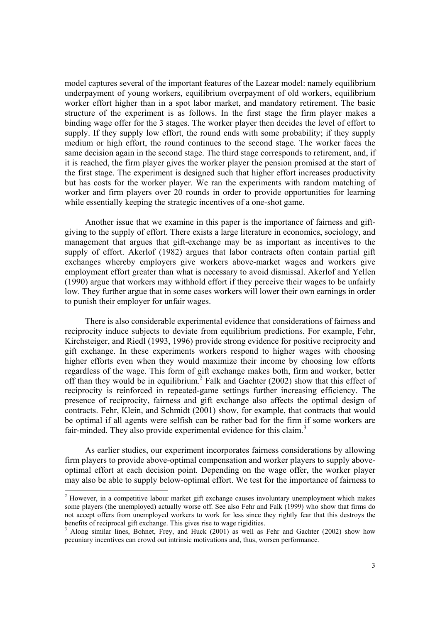model captures several of the important features of the Lazear model: namely equilibrium underpayment of young workers, equilibrium overpayment of old workers, equilibrium worker effort higher than in a spot labor market, and mandatory retirement. The basic structure of the experiment is as follows. In the first stage the firm player makes a binding wage offer for the 3 stages. The worker player then decides the level of effort to supply. If they supply low effort, the round ends with some probability; if they supply medium or high effort, the round continues to the second stage. The worker faces the same decision again in the second stage. The third stage corresponds to retirement, and, if it is reached, the firm player gives the worker player the pension promised at the start of the first stage. The experiment is designed such that higher effort increases productivity but has costs for the worker player. We ran the experiments with random matching of worker and firm players over 20 rounds in order to provide opportunities for learning while essentially keeping the strategic incentives of a one-shot game.

Another issue that we examine in this paper is the importance of fairness and giftgiving to the supply of effort. There exists a large literature in economics, sociology, and management that argues that gift-exchange may be as important as incentives to the supply of effort. Akerlof (1982) argues that labor contracts often contain partial gift exchanges whereby employers give workers above-market wages and workers give employment effort greater than what is necessary to avoid dismissal. Akerlof and Yellen (1990) argue that workers may withhold effort if they perceive their wages to be unfairly low. They further argue that in some cases workers will lower their own earnings in order to punish their employer for unfair wages.

There is also considerable experimental evidence that considerations of fairness and reciprocity induce subjects to deviate from equilibrium predictions. For example, Fehr, Kirchsteiger, and Riedl (1993, 1996) provide strong evidence for positive reciprocity and gift exchange. In these experiments workers respond to higher wages with choosing higher efforts even when they would maximize their income by choosing low efforts regardless of the wage. This form of gift exchange makes both, firm and worker, better off than they would be in equilibrium.<sup>2</sup> Falk and Gachter (2002) show that this effect of reciprocity is reinforced in repeated-game settings further increasing efficiency. The presence of reciprocity, fairness and gift exchange also affects the optimal design of contracts. Fehr, Klein, and Schmidt (2001) show, for example, that contracts that would be optimal if all agents were selfish can be rather bad for the firm if some workers are fair-minded. They also provide experimental evidence for this claim.<sup>3</sup>

As earlier studies, our experiment incorporates fairness considerations by allowing firm players to provide above-optimal compensation and worker players to supply aboveoptimal effort at each decision point. Depending on the wage offer, the worker player may also be able to supply below-optimal effort. We test for the importance of fairness to

<sup>&</sup>lt;sup>2</sup> However, in a competitive labour market gift exchange causes involuntary unemployment which makes some players (the unemployed) actually worse off. See also Fehr and Falk (1999) who show that firms do not accept offers from unemployed workers to work for less since they rightly fear that this destroys the benefits of reciprocal gift exchange. This gives rise to wage rigidities.

<sup>3</sup> Along similar lines, Bohnet, Frey, and Huck (2001) as well as Fehr and Gachter (2002) show how pecuniary incentives can crowd out intrinsic motivations and, thus, worsen performance.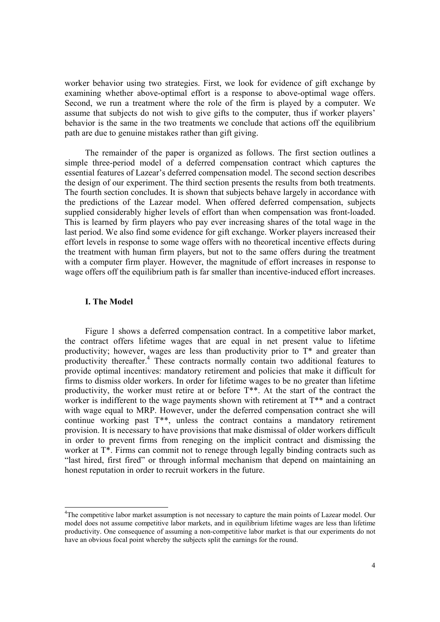worker behavior using two strategies. First, we look for evidence of gift exchange by examining whether above-optimal effort is a response to above-optimal wage offers. Second, we run a treatment where the role of the firm is played by a computer. We assume that subjects do not wish to give gifts to the computer, thus if worker players' behavior is the same in the two treatments we conclude that actions off the equilibrium path are due to genuine mistakes rather than gift giving.

The remainder of the paper is organized as follows. The first section outlines a simple three-period model of a deferred compensation contract which captures the essential features of Lazear's deferred compensation model. The second section describes the design of our experiment. The third section presents the results from both treatments. The fourth section concludes. It is shown that subjects behave largely in accordance with the predictions of the Lazear model. When offered deferred compensation, subjects supplied considerably higher levels of effort than when compensation was front-loaded. This is learned by firm players who pay ever increasing shares of the total wage in the last period. We also find some evidence for gift exchange. Worker players increased their effort levels in response to some wage offers with no theoretical incentive effects during the treatment with human firm players, but not to the same offers during the treatment with a computer firm player. However, the magnitude of effort increases in response to wage offers off the equilibrium path is far smaller than incentive-induced effort increases.

## **I. The Model**

 $\overline{a}$ 

Figure 1 shows a deferred compensation contract. In a competitive labor market, the contract offers lifetime wages that are equal in net present value to lifetime productivity; however, wages are less than productivity prior to  $T^*$  and greater than productivity thereafter.<sup>4</sup> These contracts normally contain two additional features to provide optimal incentives: mandatory retirement and policies that make it difficult for firms to dismiss older workers. In order for lifetime wages to be no greater than lifetime productivity, the worker must retire at or before T\*\*. At the start of the contract the worker is indifferent to the wage payments shown with retirement at  $T^{**}$  and a contract with wage equal to MRP. However, under the deferred compensation contract she will continue working past T\*\*, unless the contract contains a mandatory retirement provision. It is necessary to have provisions that make dismissal of older workers difficult in order to prevent firms from reneging on the implicit contract and dismissing the worker at  $T^*$ . Firms can commit not to renege through legally binding contracts such as "last hired, first fired" or through informal mechanism that depend on maintaining an honest reputation in order to recruit workers in the future.

<sup>&</sup>lt;sup>4</sup>The competitive labor market assumption is not necessary to capture the main points of Lazear model. Our model does not assume competitive labor markets, and in equilibrium lifetime wages are less than lifetime productivity. One consequence of assuming a non-competitive labor market is that our experiments do not have an obvious focal point whereby the subjects split the earnings for the round.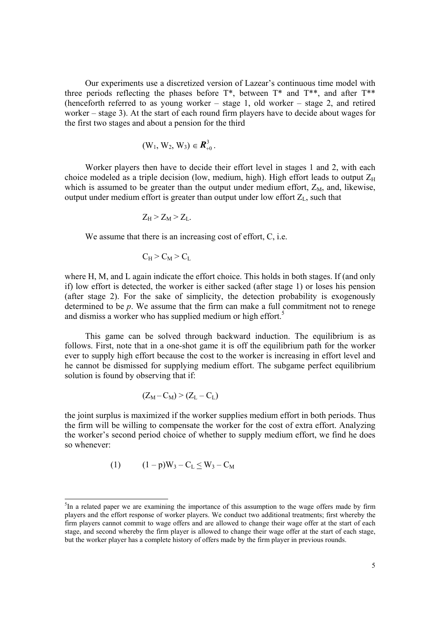Our experiments use a discretized version of Lazear's continuous time model with three periods reflecting the phases before  $T^*$ , between  $T^*$  and  $T^{**}$ , and after  $T^{**}$ (henceforth referred to as young worker – stage 1, old worker – stage 2, and retired worker – stage 3). At the start of each round firm players have to decide about wages for the first two stages and about a pension for the third

$$
(W_1, W_2, W_3) \in \mathbf{R}_{+0}^3.
$$

Worker players then have to decide their effort level in stages 1 and 2, with each choice modeled as a triple decision (low, medium, high). High effort leads to output  $Z_H$ which is assumed to be greater than the output under medium effort,  $Z_M$ , and, likewise, output under medium effort is greater than output under low effort  $Z_L$ , such that

$$
Z_H > Z_M > Z_L.
$$

We assume that there is an increasing cost of effort, C, i.e.

$$
C_H > C_M > C_L
$$

where H, M, and L again indicate the effort choice. This holds in both stages. If (and only if) low effort is detected, the worker is either sacked (after stage 1) or loses his pension (after stage 2). For the sake of simplicity, the detection probability is exogenously determined to be *p*. We assume that the firm can make a full commitment not to renege and dismiss a worker who has supplied medium or high effort.<sup>5</sup>

This game can be solved through backward induction. The equilibrium is as follows. First, note that in a one-shot game it is off the equilibrium path for the worker ever to supply high effort because the cost to the worker is increasing in effort level and he cannot be dismissed for supplying medium effort. The subgame perfect equilibrium solution is found by observing that if:

$$
(Z_M - C_M) > (Z_L - C_L)
$$

the joint surplus is maximized if the worker supplies medium effort in both periods. Thus the firm will be willing to compensate the worker for the cost of extra effort. Analyzing the worker's second period choice of whether to supply medium effort, we find he does so whenever:

$$
(1) \qquad (1 - p)W_3 - C_L \le W_3 - C_M
$$

<sup>&</sup>lt;sup>5</sup>In a related paper we are examining the importance of this assumption to the wage offers made by firm players and the effort response of worker players. We conduct two additional treatments; first whereby the firm players cannot commit to wage offers and are allowed to change their wage offer at the start of each stage, and second whereby the firm player is allowed to change their wage offer at the start of each stage, but the worker player has a complete history of offers made by the firm player in previous rounds.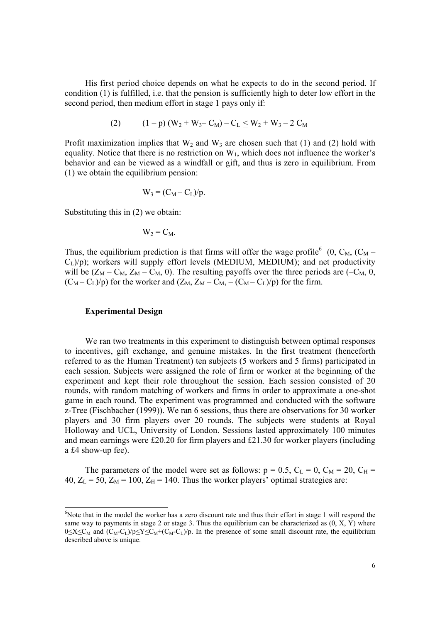His first period choice depends on what he expects to do in the second period. If condition (1) is fulfilled, i.e. that the pension is sufficiently high to deter low effort in the second period, then medium effort in stage 1 pays only if:

$$
(2) \qquad (1-p)(W_2+W_3-C_M)-C_L \leq W_2+W_3-2C_M
$$

Profit maximization implies that  $W_2$  and  $W_3$  are chosen such that (1) and (2) hold with equality. Notice that there is no restriction on  $W_1$ , which does not influence the worker's behavior and can be viewed as a windfall or gift, and thus is zero in equilibrium. From (1) we obtain the equilibrium pension:

$$
W_3 = (C_M - C_L)/p.
$$

Substituting this in (2) we obtain:

$$
W_2 = C_M.
$$

Thus, the equilibrium prediction is that firms will offer the wage profile<sup>6</sup> (0, C<sub>M</sub>, (C<sub>M</sub> –  $C_L$ )/p); workers will supply effort levels (MEDIUM, MEDIUM); and net productivity will be  $(Z_M - C_M, Z_M - C_M, 0)$ . The resulting payoffs over the three periods are  $(-C_M, 0, 0)$  $(C_M - C_L)/p$  for the worker and  $(Z_M, Z_M - C_M, -(C_M - C_L)/p)$  for the firm.

## **Experimental Design**

 $\overline{a}$ 

We ran two treatments in this experiment to distinguish between optimal responses to incentives, gift exchange, and genuine mistakes. In the first treatment (henceforth referred to as the Human Treatment) ten subjects (5 workers and 5 firms) participated in each session. Subjects were assigned the role of firm or worker at the beginning of the experiment and kept their role throughout the session. Each session consisted of 20 rounds, with random matching of workers and firms in order to approximate a one-shot game in each round. The experiment was programmed and conducted with the software z-Tree (Fischbacher (1999)). We ran 6 sessions, thus there are observations for 30 worker players and 30 firm players over 20 rounds. The subjects were students at Royal Holloway and UCL, University of London. Sessions lasted approximately 100 minutes and mean earnings were £20.20 for firm players and £21.30 for worker players (including a £4 show-up fee).

The parameters of the model were set as follows:  $p = 0.5$ ,  $C_L = 0$ ,  $C_M = 20$ ,  $C_H =$ 40,  $Z_L$  = 50,  $Z_M$  = 100,  $Z_H$  = 140. Thus the worker players' optimal strategies are:

<sup>&</sup>lt;sup>6</sup>Note that in the model the worker has a zero discount rate and thus their effort in stage 1 will respond the same way to payments in stage 2 or stage 3. Thus the equilibrium can be characterized as  $(0, X, Y)$  where  $0 \leq X \leq C_M$  and  $(C_M-C_L)/p \leq Y \leq C_M+(C_M-C_L)/p$ . In the presence of some small discount rate, the equilibrium described above is unique.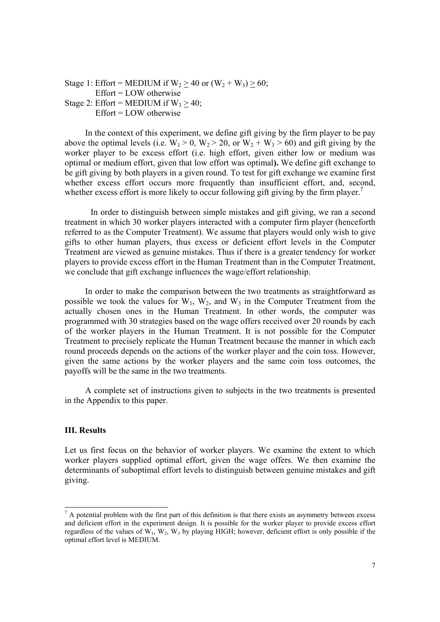Stage 1: Effort = MEDIUM if  $W_2 \ge 40$  or  $(W_2 + W_3) \ge 60$ ; Effort = LOW otherwise Stage 2: Effort = MEDIUM if  $W_3 > 40$ ; Effort = LOW otherwise

In the context of this experiment, we define gift giving by the firm player to be pay above the optimal levels (i.e.  $W_1 > 0$ ,  $W_2 > 20$ , or  $W_2 + W_3 > 60$ ) and gift giving by the worker player to be excess effort (i.e. high effort, given either low or medium was optimal or medium effort, given that low effort was optimal**).** We define gift exchange to be gift giving by both players in a given round. To test for gift exchange we examine first whether excess effort occurs more frequently than insufficient effort, and, second, whether excess effort is more likely to occur following gift giving by the firm player.<sup>7</sup>

In order to distinguish between simple mistakes and gift giving, we ran a second treatment in which 30 worker players interacted with a computer firm player (henceforth referred to as the Computer Treatment). We assume that players would only wish to give gifts to other human players, thus excess or deficient effort levels in the Computer Treatment are viewed as genuine mistakes. Thus if there is a greater tendency for worker players to provide excess effort in the Human Treatment than in the Computer Treatment, we conclude that gift exchange influences the wage/effort relationship.

In order to make the comparison between the two treatments as straightforward as possible we took the values for  $W_1$ ,  $W_2$ , and  $W_3$  in the Computer Treatment from the actually chosen ones in the Human Treatment. In other words, the computer was programmed with 30 strategies based on the wage offers received over 20 rounds by each of the worker players in the Human Treatment. It is not possible for the Computer Treatment to precisely replicate the Human Treatment because the manner in which each round proceeds depends on the actions of the worker player and the coin toss. However, given the same actions by the worker players and the same coin toss outcomes, the payoffs will be the same in the two treatments.

A complete set of instructions given to subjects in the two treatments is presented in the Appendix to this paper.

## **III. Results**

Let us first focus on the behavior of worker players. We examine the extent to which worker players supplied optimal effort, given the wage offers. We then examine the determinants of suboptimal effort levels to distinguish between genuine mistakes and gift giving.

<sup>&</sup>lt;sup>7</sup> A potential problem with the first part of this definition is that there exists an asymmetry between excess and deficient effort in the experiment design. It is possible for the worker player to provide excess effort regardless of the values of  $W_1$ ,  $W_2$ ,  $W_3$  by playing HIGH; however, deficient effort is only possible if the optimal effort level is MEDIUM.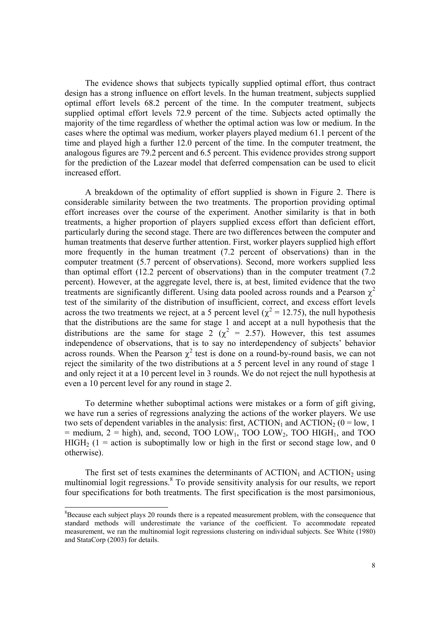The evidence shows that subjects typically supplied optimal effort, thus contract design has a strong influence on effort levels. In the human treatment, subjects supplied optimal effort levels 68.2 percent of the time. In the computer treatment, subjects supplied optimal effort levels 72.9 percent of the time. Subjects acted optimally the majority of the time regardless of whether the optimal action was low or medium. In the cases where the optimal was medium, worker players played medium 61.1 percent of the time and played high a further 12.0 percent of the time. In the computer treatment, the analogous figures are 79.2 percent and 6.5 percent. This evidence provides strong support for the prediction of the Lazear model that deferred compensation can be used to elicit increased effort.

A breakdown of the optimality of effort supplied is shown in Figure 2. There is considerable similarity between the two treatments. The proportion providing optimal effort increases over the course of the experiment. Another similarity is that in both treatments, a higher proportion of players supplied excess effort than deficient effort, particularly during the second stage. There are two differences between the computer and human treatments that deserve further attention. First, worker players supplied high effort more frequently in the human treatment (7.2 percent of observations) than in the computer treatment (5.7 percent of observations). Second, more workers supplied less than optimal effort (12.2 percent of observations) than in the computer treatment (7.2 percent). However, at the aggregate level, there is, at best, limited evidence that the two treatments are significantly different. Using data pooled across rounds and a Pearson  $\chi^2$ test of the similarity of the distribution of insufficient, correct, and excess effort levels across the two treatments we reject, at a 5 percent level ( $\chi^2$  = 12.75), the null hypothesis that the distributions are the same for stage 1 and accept at a null hypothesis that the distributions are the same for stage 2 ( $\chi^2$  = 2.57). However, this test assumes independence of observations, that is to say no interdependency of subjects' behavior across rounds. When the Pearson  $\chi^2$  test is done on a round-by-round basis, we can not reject the similarity of the two distributions at a 5 percent level in any round of stage 1 and only reject it at a 10 percent level in 3 rounds. We do not reject the null hypothesis at even a 10 percent level for any round in stage 2.

To determine whether suboptimal actions were mistakes or a form of gift giving, we have run a series of regressions analyzing the actions of the worker players. We use two sets of dependent variables in the analysis: first,  $ACTION<sub>1</sub>$  and  $ACTION<sub>2</sub>$  (0 = low, 1  $=$  medium,  $2 =$  high), and, second, TOO LOW<sub>1</sub>, TOO LOW<sub>2</sub>, TOO HIGH<sub>1</sub>, and TOO HIGH<sub>2</sub> (1 = action is suboptimally low or high in the first or second stage low, and 0 otherwise).

The first set of tests examines the determinants of  $\text{ACTION}_1$  and  $\text{ACTION}_2$  using multinomial logit regressions.<sup>8</sup> To provide sensitivity analysis for our results, we report four specifications for both treatments. The first specification is the most parsimonious,

 ${}^{8}$ Because each subject plays 20 rounds there is a repeated measurement problem, with the consequence that standard methods will underestimate the variance of the coefficient. To accommodate repeated measurement, we ran the multinomial logit regressions clustering on individual subjects. See White (1980) and StataCorp (2003) for details.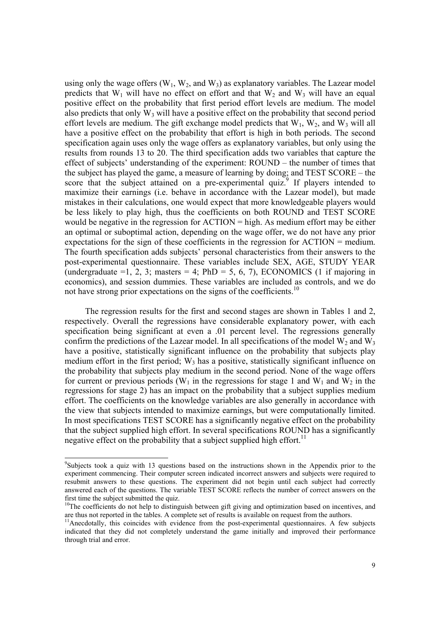using only the wage offers  $(W_1, W_2,$  and  $W_3)$  as explanatory variables. The Lazear model predicts that  $W_1$  will have no effect on effort and that  $W_2$  and  $W_3$  will have an equal positive effect on the probability that first period effort levels are medium. The model also predicts that only  $W_3$  will have a positive effect on the probability that second period effort levels are medium. The gift exchange model predicts that  $W_1$ ,  $W_2$ , and  $W_3$  will all have a positive effect on the probability that effort is high in both periods. The second specification again uses only the wage offers as explanatory variables, but only using the results from rounds 13 to 20. The third specification adds two variables that capture the effect of subjects' understanding of the experiment: ROUND – the number of times that the subject has played the game, a measure of learning by doing; and TEST SCORE – the score that the subject attained on a pre-experimental quiz.<sup>9</sup> If players intended to maximize their earnings (i.e. behave in accordance with the Lazear model), but made mistakes in their calculations, one would expect that more knowledgeable players would be less likely to play high, thus the coefficients on both ROUND and TEST SCORE would be negative in the regression for ACTION = high. As medium effort may be either an optimal or suboptimal action, depending on the wage offer, we do not have any prior expectations for the sign of these coefficients in the regression for ACTION = medium. The fourth specification adds subjects' personal characteristics from their answers to the post-experimental questionnaire. These variables include SEX, AGE, STUDY YEAR (undergraduate  $=1, 2, 3$ ; masters  $= 4$ ; PhD  $= 5, 6, 7$ ), ECONOMICS (1 if majoring in economics), and session dummies. These variables are included as controls, and we do not have strong prior expectations on the signs of the coefficients.<sup>10</sup>

The regression results for the first and second stages are shown in Tables 1 and 2, respectively. Overall the regressions have considerable explanatory power, with each specification being significant at even a .01 percent level. The regressions generally confirm the predictions of the Lazear model. In all specifications of the model  $W_2$  and  $W_3$ have a positive, statistically significant influence on the probability that subjects play medium effort in the first period;  $W_3$  has a positive, statistically significant influence on the probability that subjects play medium in the second period. None of the wage offers for current or previous periods ( $W_1$  in the regressions for stage 1 and  $W_1$  and  $W_2$  in the regressions for stage 2) has an impact on the probability that a subject supplies medium effort. The coefficients on the knowledge variables are also generally in accordance with the view that subjects intended to maximize earnings, but were computationally limited. In most specifications TEST SCORE has a significantly negative effect on the probability that the subject supplied high effort. In several specifications ROUND has a significantly negative effect on the probability that a subject supplied high effort.<sup>11</sup>

<sup>&</sup>lt;sup>9</sup>Subjects took a quiz with 13 questions based on the instructions shown in the Appendix prior to the experiment commencing. Their computer screen indicated incorrect answers and subjects were required to resubmit answers to these questions. The experiment did not begin until each subject had correctly answered each of the questions. The variable TEST SCORE reflects the number of correct answers on the first time the subject submitted the quiz.

<sup>&</sup>lt;sup>10</sup>The coefficients do not help to distinguish between gift giving and optimization based on incentives, and are thus not reported in the tables. A complete set of results is available on request from the authors.

<sup>&</sup>lt;sup>11</sup>Anecdotally, this coincides with evidence from the post-experimental questionnaires. A few subjects indicated that they did not completely understand the game initially and improved their performance through trial and error.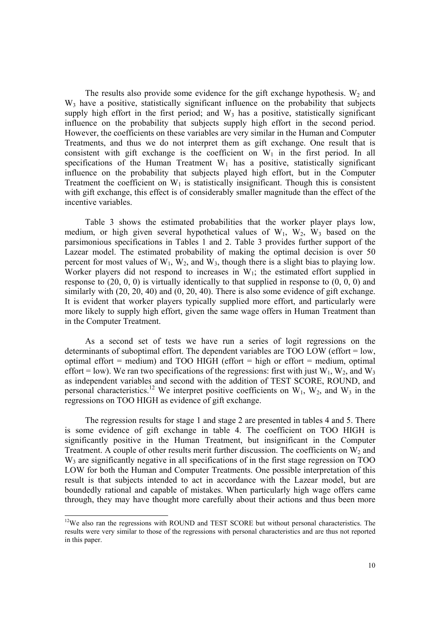The results also provide some evidence for the gift exchange hypothesis.  $W_2$  and W<sub>3</sub> have a positive, statistically significant influence on the probability that subjects supply high effort in the first period; and  $W_3$  has a positive, statistically significant influence on the probability that subjects supply high effort in the second period. However, the coefficients on these variables are very similar in the Human and Computer Treatments, and thus we do not interpret them as gift exchange. One result that is consistent with gift exchange is the coefficient on  $W_1$  in the first period. In all specifications of the Human Treatment  $W_1$  has a positive, statistically significant influence on the probability that subjects played high effort, but in the Computer Treatment the coefficient on  $W_1$  is statistically insignificant. Though this is consistent with gift exchange, this effect is of considerably smaller magnitude than the effect of the incentive variables.

Table 3 shows the estimated probabilities that the worker player plays low, medium, or high given several hypothetical values of  $W_1$ ,  $W_2$ ,  $W_3$  based on the parsimonious specifications in Tables 1 and 2. Table 3 provides further support of the Lazear model. The estimated probability of making the optimal decision is over 50 percent for most values of  $W_1$ ,  $W_2$ , and  $W_3$ , though there is a slight bias to playing low. Worker players did not respond to increases in  $W_1$ ; the estimated effort supplied in response to  $(20, 0, 0)$  is virtually identically to that supplied in response to  $(0, 0, 0)$  and similarly with (20, 20, 40) and (0, 20, 40). There is also some evidence of gift exchange. It is evident that worker players typically supplied more effort, and particularly were more likely to supply high effort, given the same wage offers in Human Treatment than in the Computer Treatment.

As a second set of tests we have run a series of logit regressions on the determinants of suboptimal effort. The dependent variables are TOO LOW (effort = low, optimal effort = medium) and TOO HIGH (effort = high or effort = medium, optimal effort = low). We ran two specifications of the regressions: first with just  $W_1$ ,  $W_2$ , and  $W_3$ as independent variables and second with the addition of TEST SCORE, ROUND, and personal characteristics.<sup>12</sup> We interpret positive coefficients on  $W_1$ ,  $W_2$ , and  $W_3$  in the regressions on TOO HIGH as evidence of gift exchange.

The regression results for stage 1 and stage 2 are presented in tables 4 and 5. There is some evidence of gift exchange in table 4. The coefficient on TOO HIGH is significantly positive in the Human Treatment, but insignificant in the Computer Treatment. A couple of other results merit further discussion. The coefficients on  $W_2$  and W<sub>3</sub> are significantly negative in all specifications of in the first stage regression on TOO LOW for both the Human and Computer Treatments. One possible interpretation of this result is that subjects intended to act in accordance with the Lazear model, but are boundedly rational and capable of mistakes. When particularly high wage offers came through, they may have thought more carefully about their actions and thus been more

<sup>&</sup>lt;sup>12</sup>We also ran the regressions with ROUND and TEST SCORE but without personal characteristics. The results were very similar to those of the regressions with personal characteristics and are thus not reported in this paper.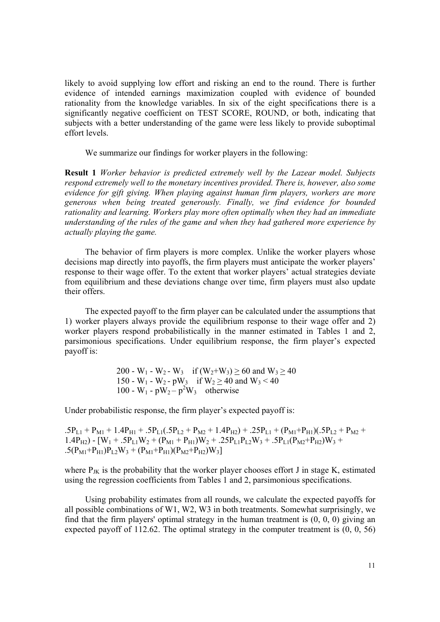likely to avoid supplying low effort and risking an end to the round. There is further evidence of intended earnings maximization coupled with evidence of bounded rationality from the knowledge variables. In six of the eight specifications there is a significantly negative coefficient on TEST SCORE, ROUND, or both, indicating that subjects with a better understanding of the game were less likely to provide suboptimal effort levels.

We summarize our findings for worker players in the following:

**Result 1** *Worker behavior is predicted extremely well by the Lazear model. Subjects respond extremely well to the monetary incentives provided. There is, however, also some evidence for gift giving. When playing against human firm players, workers are more generous when being treated generously. Finally, we find evidence for bounded rationality and learning. Workers play more often optimally when they had an immediate understanding of the rules of the game and when they had gathered more experience by actually playing the game.* 

The behavior of firm players is more complex. Unlike the worker players whose decisions map directly into payoffs, the firm players must anticipate the worker players' response to their wage offer. To the extent that worker players' actual strategies deviate from equilibrium and these deviations change over time, firm players must also update their offers.

The expected payoff to the firm player can be calculated under the assumptions that 1) worker players always provide the equilibrium response to their wage offer and 2) worker players respond probabilistically in the manner estimated in Tables 1 and 2, parsimonious specifications. Under equilibrium response, the firm player's expected payoff is:

200 - W<sub>1</sub> - W<sub>2</sub> - W<sub>3</sub> if  $(W_2+W_3) \ge 60$  and  $W_3 \ge 40$ 150 - W<sub>1</sub> - W<sub>2</sub> - pW<sub>3</sub> if W<sub>2</sub>  $\geq$  40 and W<sub>3</sub> < 40 100 - W<sub>1</sub> -  $pW_2 - p^2W_3$  otherwise

Under probabilistic response, the firm player's expected payoff is:

 $.5P_{L1} + P_{M1} + 1.4P_{H1} + .5P_{L1}(.5P_{L2} + P_{M2} + 1.4P_{H2}) + .25P_{L1} + (P_{M1} + P_{H1})(.5P_{L2} + P_{M2} + P_{M1})$ 1.4P<sub>H2</sub>) -  $[W_1 + .5P_{L1}W_2 + (P_{M1} + P_{H1})W_2 + .25P_{L1}P_{L2}W_3 + .5P_{L1}(P_{M2} + P_{H2})W_3 +$  $.5(P_{M1}+P_{H1})P_{L2}W_3 + (P_{M1}+P_{H1})(P_{M2}+P_{H2})W_3$ 

where  $P_{JK}$  is the probability that the worker player chooses effort J in stage K, estimated using the regression coefficients from Tables 1 and 2, parsimonious specifications.

Using probability estimates from all rounds, we calculate the expected payoffs for all possible combinations of W1, W2, W3 in both treatments. Somewhat surprisingly, we find that the firm players' optimal strategy in the human treatment is (0, 0, 0) giving an expected payoff of 112.62. The optimal strategy in the computer treatment is (0, 0, 56)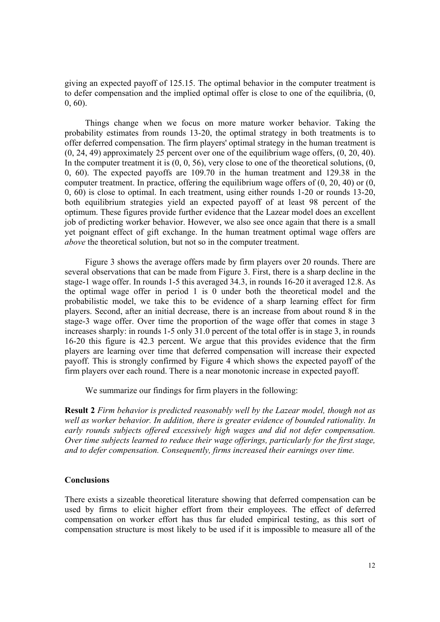giving an expected payoff of 125.15. The optimal behavior in the computer treatment is to defer compensation and the implied optimal offer is close to one of the equilibria, (0, 0, 60).

Things change when we focus on more mature worker behavior. Taking the probability estimates from rounds 13-20, the optimal strategy in both treatments is to offer deferred compensation. The firm players' optimal strategy in the human treatment is (0, 24, 49) approximately 25 percent over one of the equilibrium wage offers, (0, 20, 40). In the computer treatment it is  $(0, 0, 56)$ , very close to one of the theoretical solutions,  $(0, 0, 0, 0, 0)$ 0, 60). The expected payoffs are 109.70 in the human treatment and 129.38 in the computer treatment. In practice, offering the equilibrium wage offers of (0, 20, 40) or (0, 0, 60) is close to optimal. In each treatment, using either rounds 1-20 or rounds 13-20, both equilibrium strategies yield an expected payoff of at least 98 percent of the optimum. These figures provide further evidence that the Lazear model does an excellent job of predicting worker behavior. However, we also see once again that there is a small yet poignant effect of gift exchange. In the human treatment optimal wage offers are *above* the theoretical solution, but not so in the computer treatment.

Figure 3 shows the average offers made by firm players over 20 rounds. There are several observations that can be made from Figure 3. First, there is a sharp decline in the stage-1 wage offer. In rounds 1-5 this averaged 34.3, in rounds 16-20 it averaged 12.8. As the optimal wage offer in period 1 is 0 under both the theoretical model and the probabilistic model, we take this to be evidence of a sharp learning effect for firm players. Second, after an initial decrease, there is an increase from about round 8 in the stage-3 wage offer. Over time the proportion of the wage offer that comes in stage 3 increases sharply: in rounds 1-5 only 31.0 percent of the total offer is in stage 3, in rounds 16-20 this figure is 42.3 percent. We argue that this provides evidence that the firm players are learning over time that deferred compensation will increase their expected payoff. This is strongly confirmed by Figure 4 which shows the expected payoff of the firm players over each round. There is a near monotonic increase in expected payoff.

We summarize our findings for firm players in the following:

**Result 2** *Firm behavior is predicted reasonably well by the Lazear model, though not as well as worker behavior. In addition, there is greater evidence of bounded rationality. In early rounds subjects offered excessively high wages and did not defer compensation. Over time subjects learned to reduce their wage offerings, particularly for the first stage, and to defer compensation. Consequently, firms increased their earnings over time.*

## **Conclusions**

There exists a sizeable theoretical literature showing that deferred compensation can be used by firms to elicit higher effort from their employees. The effect of deferred compensation on worker effort has thus far eluded empirical testing, as this sort of compensation structure is most likely to be used if it is impossible to measure all of the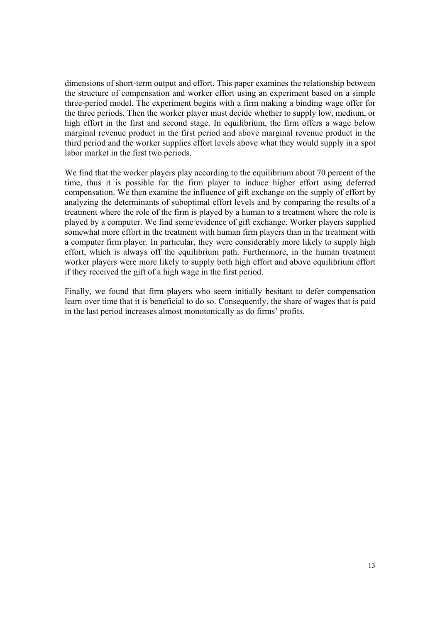dimensions of short-term output and effort. This paper examines the relationship between the structure of compensation and worker effort using an experiment based on a simple three-period model. The experiment begins with a firm making a binding wage offer for the three periods. Then the worker player must decide whether to supply low, medium, or high effort in the first and second stage. In equilibrium, the firm offers a wage below marginal revenue product in the first period and above marginal revenue product in the third period and the worker supplies effort levels above what they would supply in a spot labor market in the first two periods.

We find that the worker players play according to the equilibrium about 70 percent of the time, thus it is possible for the firm player to induce higher effort using deferred compensation. We then examine the influence of gift exchange on the supply of effort by analyzing the determinants of suboptimal effort levels and by comparing the results of a treatment where the role of the firm is played by a human to a treatment where the role is played by a computer. We find some evidence of gift exchange. Worker players supplied somewhat more effort in the treatment with human firm players than in the treatment with a computer firm player. In particular, they were considerably more likely to supply high effort, which is always off the equilibrium path. Furthermore, in the human treatment worker players were more likely to supply both high effort and above equilibrium effort if they received the gift of a high wage in the first period.

Finally, we found that firm players who seem initially hesitant to defer compensation learn over time that it is beneficial to do so. Consequently, the share of wages that is paid in the last period increases almost monotonically as do firms' profits.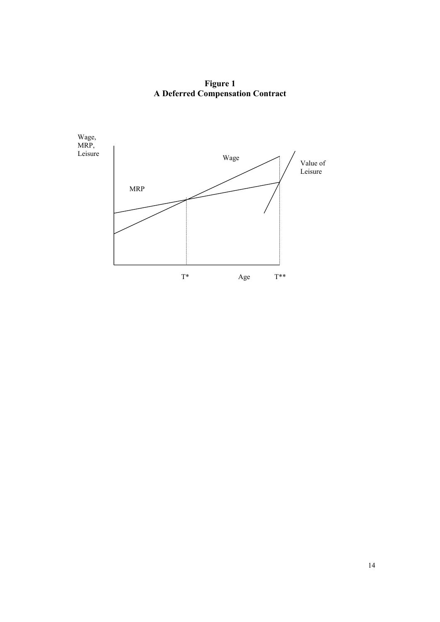**Figure 1 A Deferred Compensation Contract** 

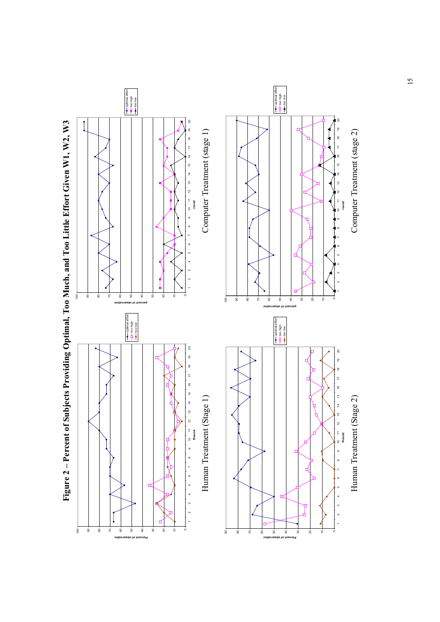

Figure 2 - Percent of Subjects Providing Optimal, Too Much, and Too Little Effort Given W1, W2, W3 **Figure 2 – Percent of Subjects Providing Optimal, Too Much, and Too Little Effort Given W1, W2, W3**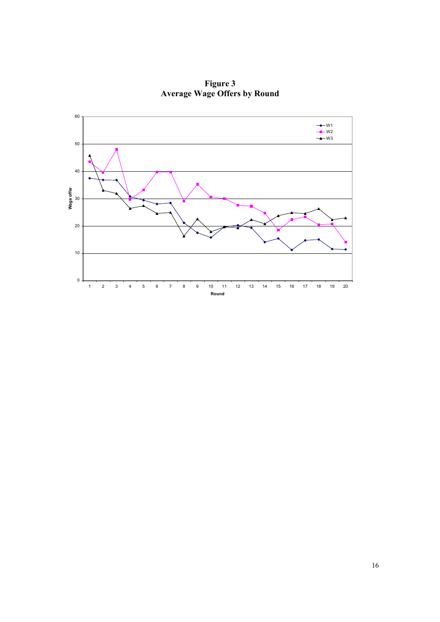

**Figure 3 Average Wage Offers by Round**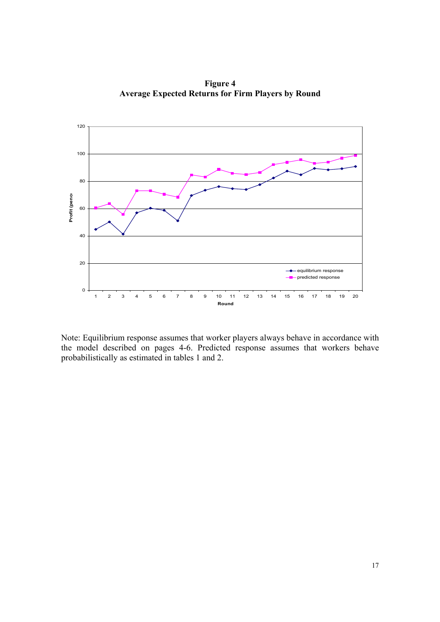

**Figure 4 Average Expected Returns for Firm Players by Round** 

Note: Equilibrium response assumes that worker players always behave in accordance with the model described on pages 4-6. Predicted response assumes that workers behave probabilistically as estimated in tables 1 and 2.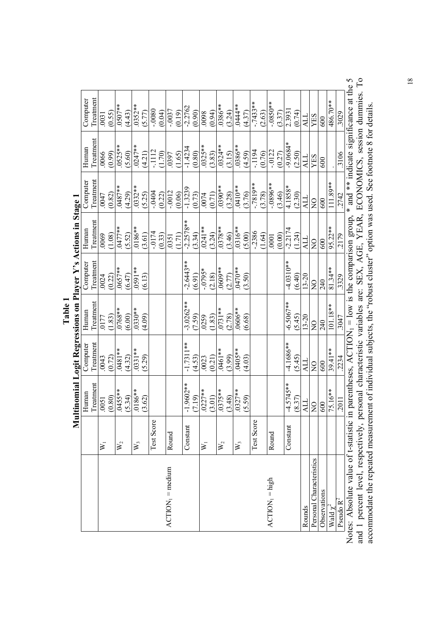|                                                                                                                               |                           |                                                                                                    |                    |                          |                          | Multinomial Logit Regressions on Player Y's Actions in Stage 1 |                     |            |                                         |
|-------------------------------------------------------------------------------------------------------------------------------|---------------------------|----------------------------------------------------------------------------------------------------|--------------------|--------------------------|--------------------------|----------------------------------------------------------------|---------------------|------------|-----------------------------------------|
|                                                                                                                               |                           | Human                                                                                              | Computer           | Human                    | Computer                 | Human                                                          | Computer            | Human      | Computer                                |
|                                                                                                                               |                           |                                                                                                    | Treatment<br>.0043 | $\frac{Treatment}{0177}$ | $\frac{Treatment}{0024}$ | Treatment                                                      | Treatment           | Treatment  | reatment                                |
|                                                                                                                               | $\aleph_1$                |                                                                                                    |                    |                          |                          | 0069                                                           | 0047                | .0066      | 0031                                    |
|                                                                                                                               |                           |                                                                                                    | (0.72)             | (1.83)                   | (0.22)                   | (1.08)                                                         | (0.82)              | (0.99)     | (0.55)                                  |
|                                                                                                                               | $\mathbf{W}_2$            | Treatment<br>$\frac{0.0051}{0.005}$<br>$\frac{0.80}{0.455**}$<br>$\frac{0.834}{0.186**}$<br>(3.62) | **1870             | $.0768**$                | $*1590$ .                | $0477**$                                                       | $*$ */810.          | $0525**$   | **4050                                  |
|                                                                                                                               |                           |                                                                                                    | (4.32)             | (6.00)                   | (6.47)                   | (5.52)                                                         | (4.29)              | (5.60)     | (4.43)                                  |
|                                                                                                                               | $W_3$                     |                                                                                                    | $0.331**$          | $0.830**$                | **1650                   | $**9810.$                                                      | (5.25)              | $.0247**$  | $.0352**$                               |
|                                                                                                                               |                           |                                                                                                    | (5.29)             | (4.09)                   | (6.13)                   | (3.61)                                                         |                     | (4.21)     | (5.77)                                  |
|                                                                                                                               | Test Score                |                                                                                                    |                    |                          |                          | $-0174$                                                        | $-0404$             | $-1112$    | $0800 -$                                |
|                                                                                                                               |                           |                                                                                                    |                    |                          |                          | (0.33)                                                         | (0.22)              | (1.70)     | (0.04)                                  |
| $ACTION_1 = medium$                                                                                                           | Round                     |                                                                                                    |                    |                          |                          | .0351                                                          | $-.0012$            | .0397      | $-0.0037$                               |
|                                                                                                                               |                           |                                                                                                    |                    |                          |                          | (1.71)                                                         | (0.06)              | (1.65)     | (0.19)                                  |
|                                                                                                                               | Constant                  | 9602**<br>$\frac{1}{1}$                                                                            | $-1.7311**$        | $-3.0262**$              | $-2.6443**$              | $-2.2578**$                                                    | $-1.3239$           | $-1.4234$  | $-2.2762$                               |
|                                                                                                                               |                           | (7.19)                                                                                             | (4.53)             | (7.59)                   | (6.91)                   | (3.34)                                                         | (0.73)              | (0.80)     | (0.90)                                  |
|                                                                                                                               | $\bar{\bm{\mathsf{x}}}_1$ | $.0227**$                                                                                          | .0023              | 0259                     | $-0795*$                 | $.0241***$                                                     | .0074               | $.0325**$  | 8600                                    |
|                                                                                                                               |                           | $\frac{(3.01)}{0375**}$                                                                            | (0.21)             | (1.83)                   | (2.18)                   | (3.24)                                                         | (0.71)              | (3.83)     | (0.94)                                  |
|                                                                                                                               | $\mathbf{W}_2$            |                                                                                                    | $0461**$           | $.0731**$                | **6090                   | $0378**$                                                       | **0660              | $.0324**$  | $*886.$                                 |
|                                                                                                                               |                           | (3.48)                                                                                             | (3.99)             | 2.78                     | (2.77)                   | (3.46)                                                         | (3.28)              | (3.15)     | (3.24)                                  |
|                                                                                                                               | $W_3$                     | $327**$<br>$\ddot{\circ}$                                                                          | .0405**            | .0606**                  | $.0470**$                | .0316**                                                        | $.0410**$           | **9860     | $.0444**$                               |
|                                                                                                                               |                           | 59)<br>$\tilde{S}$ .                                                                               | (4.03)             | (6.68)                   | (3.50)                   | (5.00)                                                         | (3.76)              | (4.59)     | (4.37)                                  |
|                                                                                                                               | Test Score                |                                                                                                    |                    |                          |                          | $-2386$                                                        | $-7819**$<br>(3.78) | $-1194$    | $-7433**$                               |
|                                                                                                                               |                           |                                                                                                    |                    |                          |                          | (1.64)                                                         |                     | (0.76)     | (2.63)                                  |
| $ACTON1 = high$                                                                                                               | Round                     |                                                                                                    |                    |                          |                          | .0001                                                          | $-.0896**$          | $-0122$    | $-.0850**$                              |
|                                                                                                                               |                           |                                                                                                    |                    |                          |                          | (0.00)                                                         | (3.46)              | (0.27)     | (3.37)                                  |
|                                                                                                                               | Constant                  | 5745**<br>4.                                                                                       | -4.1686**          | $-6.5067**$              | $-4.0310**$              | $-2.2174$                                                      | 4.1858*             | $-9.0684*$ | 2.3931                                  |
|                                                                                                                               |                           | (8.37)                                                                                             | (5.45)             | (5.45)                   | (6.40)                   | (1.24)                                                         | (2.30)              | (2.50)     | (0.74)                                  |
| Rounds                                                                                                                        |                           |                                                                                                    | ALL                | $13 - 20$                | $13 - 20$                | ALL                                                            | ALL                 | ALL        | ALL                                     |
| Personal Characteristics                                                                                                      |                           | $\frac{1}{\sqrt{2}}$                                                                               | $\overline{Q}$     | $\frac{0}{2}$            | $\frac{1}{2}$            | $\frac{1}{2}$                                                  | $\frac{1}{2}$       | YES        | YES                                     |
| Observations                                                                                                                  |                           |                                                                                                    | 600                | 240                      | 240                      | 600                                                            | 600                 | 600        | 600                                     |
| Wald $\chi^2$                                                                                                                 |                           | 75.16**                                                                                            | $39.41**$          | $101.18**$               | 81.34**                  | 95.22**                                                        | 111.89**            |            | 486.70**                                |
| Pseudo $R^2$                                                                                                                  |                           | .2011                                                                                              | 2234               | <b>LF05</b>              | .3329                    | 2179                                                           | 2742                | .3106      | .3029                                   |
| Notes: Absolute value of t-statistic in parentheses, $ACTION_1 = low$ is the comparison group,                                |                           |                                                                                                    |                    |                          |                          |                                                                |                     |            | * and ** indicate significance at the 5 |
| and 1 percent level, respectively, personal characteristic variables are: SEX, AGE, YEAR, ECONOMICS, session dummies. To      |                           |                                                                                                    |                    |                          |                          |                                                                |                     |            |                                         |
| accommodate the repeated measurement of individual subjects, the "robust cluster" option was used. See footnote 8 for details |                           |                                                                                                    |                    |                          |                          |                                                                |                     |            |                                         |
|                                                                                                                               |                           |                                                                                                    |                    |                          |                          |                                                                |                     |            |                                         |

 $\ddot{\phantom{0}}$ **Table 1** 

18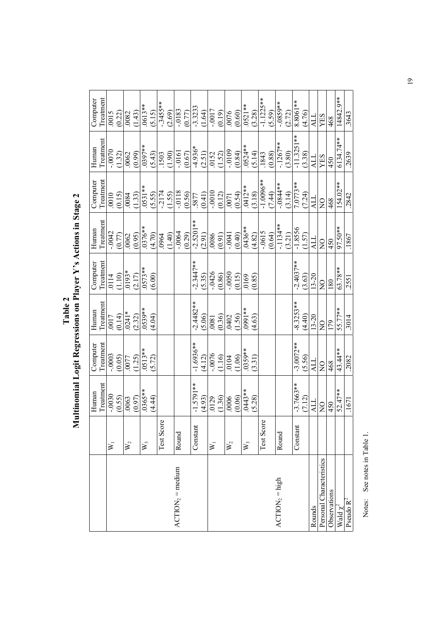| <b>Mover</b><br>ì<br>l<br>F<br>1<br>،<br>ا<br>occions on river<br>Ī<br>L<br>1 |  | $\frac{1}{2}$ and in Stage $\frac{1}{2}$ |
|-------------------------------------------------------------------------------|--|------------------------------------------|
|-------------------------------------------------------------------------------|--|------------------------------------------|

| Treatment<br>.0114<br>(1.10)<br>Computer<br>Treatment<br>$\frac{(0.14)}{(0.14)}$<br>$\frac{(0.14)}{(0.24)}$<br>$\frac{(2.32)}{(0.539) *}$<br>Human<br>$\frac{Treatment}{-.0003}$<br>Computer<br>Treatment<br>-.0030<br>Human |  |                                             | $\frac{\text{Treatment}}{\text{-}0042}$<br>Human                 | $\begin{array}{r l} \text{treatment} \ \hline 10010 & 0010 \ \hline 0015 & 0011* \\ \hline 0015 & 0084 & 0.531 \ \hline 0531** & 0.550 \ \hline 1174 & 0.550 \ \hline 0.550 & 0.411 \ \hline 0.550 & 0.411 \ \hline 0.550 & 0.541 \ \hline 0.0010 & 0.541 \ \hline 0.0010 & 0.541 \ \hline 0.0010 & 0.541 \ \hline 0.0010 & $<br>Computer | $\frac{The amount}{1.0070}$<br>Human                                                                                                                                                                                                                                                                                                                                               | Treatment<br>$\frac{0.15}{0.015}$<br>$\frac{(0.22)}{(0.082)}$<br>$\frac{(1.43)}{(0.13)*}$<br>$\frac{(5.15)}{(5.15)}$<br>Computer              |
|------------------------------------------------------------------------------------------------------------------------------------------------------------------------------------------------------------------------------|--|---------------------------------------------|------------------------------------------------------------------|-------------------------------------------------------------------------------------------------------------------------------------------------------------------------------------------------------------------------------------------------------------------------------------------------------------------------------------------|------------------------------------------------------------------------------------------------------------------------------------------------------------------------------------------------------------------------------------------------------------------------------------------------------------------------------------------------------------------------------------|-----------------------------------------------------------------------------------------------------------------------------------------------|
| $\frac{(0.05)}{0077}$<br>(1.25)<br>$\frac{(0.55)}{0.063}$                                                                                                                                                                    |  |                                             | $\frac{(0.77)}{0062}$ $\frac{(0.95)}{0376**}$ $\frac{(4.70)}{0}$ |                                                                                                                                                                                                                                                                                                                                           | $\frac{(1.32)}{0.062}$                                                                                                                                                                                                                                                                                                                                                             |                                                                                                                                               |
|                                                                                                                                                                                                                              |  | $\frac{10193*}{(2.17)}$<br>.0573**<br>.050) |                                                                  |                                                                                                                                                                                                                                                                                                                                           |                                                                                                                                                                                                                                                                                                                                                                                    |                                                                                                                                               |
|                                                                                                                                                                                                                              |  |                                             |                                                                  |                                                                                                                                                                                                                                                                                                                                           |                                                                                                                                                                                                                                                                                                                                                                                    |                                                                                                                                               |
| $.0513**$<br>(5.72)<br>(4.44)                                                                                                                                                                                                |  |                                             |                                                                  |                                                                                                                                                                                                                                                                                                                                           |                                                                                                                                                                                                                                                                                                                                                                                    |                                                                                                                                               |
|                                                                                                                                                                                                                              |  |                                             |                                                                  |                                                                                                                                                                                                                                                                                                                                           |                                                                                                                                                                                                                                                                                                                                                                                    |                                                                                                                                               |
| Test Score                                                                                                                                                                                                                   |  |                                             |                                                                  |                                                                                                                                                                                                                                                                                                                                           |                                                                                                                                                                                                                                                                                                                                                                                    |                                                                                                                                               |
|                                                                                                                                                                                                                              |  |                                             |                                                                  |                                                                                                                                                                                                                                                                                                                                           |                                                                                                                                                                                                                                                                                                                                                                                    |                                                                                                                                               |
| Round                                                                                                                                                                                                                        |  |                                             |                                                                  |                                                                                                                                                                                                                                                                                                                                           |                                                                                                                                                                                                                                                                                                                                                                                    |                                                                                                                                               |
|                                                                                                                                                                                                                              |  |                                             |                                                                  |                                                                                                                                                                                                                                                                                                                                           |                                                                                                                                                                                                                                                                                                                                                                                    |                                                                                                                                               |
| $-2.4482**$<br>$-1.6936**$<br>$-1.5791**$<br>Constant                                                                                                                                                                        |  | $-2.3447**$<br>(5.35)                       |                                                                  |                                                                                                                                                                                                                                                                                                                                           |                                                                                                                                                                                                                                                                                                                                                                                    |                                                                                                                                               |
| (5.06)<br>(4.12)<br>(4.93)                                                                                                                                                                                                   |  |                                             |                                                                  |                                                                                                                                                                                                                                                                                                                                           |                                                                                                                                                                                                                                                                                                                                                                                    |                                                                                                                                               |
| $\begin{array}{c c}\n\hline\n0081 \\ 0.36 \\ \hline\n0.402 \\ -1.56 \\ \hline\n1.63\n\end{array}$<br>$\begin{array}{c} (9010) \\ (110) \\ (110) \\ (101) \end{array}$<br>0129<br>(1.36)<br>(0.06)                            |  | $\frac{(0.86)}{0.0050}$                     |                                                                  |                                                                                                                                                                                                                                                                                                                                           |                                                                                                                                                                                                                                                                                                                                                                                    | $-3455**$<br>$(2.69)$<br>$(2.69)$<br>$(1.64)$<br>$(1.64)$<br>$(1.64)$<br>$(1.64)$<br>$(0.19)$<br>$(0.60)$<br>$(0.60)$<br>$(0.60)$<br>$(0.60)$ |
|                                                                                                                                                                                                                              |  |                                             |                                                                  |                                                                                                                                                                                                                                                                                                                                           |                                                                                                                                                                                                                                                                                                                                                                                    |                                                                                                                                               |
|                                                                                                                                                                                                                              |  |                                             |                                                                  |                                                                                                                                                                                                                                                                                                                                           |                                                                                                                                                                                                                                                                                                                                                                                    |                                                                                                                                               |
|                                                                                                                                                                                                                              |  |                                             |                                                                  |                                                                                                                                                                                                                                                                                                                                           |                                                                                                                                                                                                                                                                                                                                                                                    |                                                                                                                                               |
| .0359**                                                                                                                                                                                                                      |  | $\frac{0.000}{0.000}$                       |                                                                  |                                                                                                                                                                                                                                                                                                                                           |                                                                                                                                                                                                                                                                                                                                                                                    |                                                                                                                                               |
| (3.31)<br>(5.28)                                                                                                                                                                                                             |  |                                             |                                                                  |                                                                                                                                                                                                                                                                                                                                           | $\begin{array}{r} \n 1997** \\  1593 \\  1593 \\  -1954 \\  -1954 \\  -1954 \\  -1954 \\  -1954 \\  -1954 \\  -1954 \\  -1954 \\  -1954 \\  -1954 \\  -1954 \\  -1954 \\  -1954 \\  -1954 \\  -1954 \\  -1954 \\  -1954 \\  -1954 \\  -1954 \\  -1954 \\  -1954 \\  -1954 \\  -1954 \\  -1954 \\  -1954 \\  -1954 \\  -1954 \\  -1954 \\  -1954 \\  -1954 \\  -1954 \\  -1954 \\ $ | $\frac{(3.28)}{(-1.1225**)}$ $\frac{(5.59)}{(-0.859**)}$                                                                                      |
| Ò,<br>Test Scor                                                                                                                                                                                                              |  |                                             |                                                                  |                                                                                                                                                                                                                                                                                                                                           |                                                                                                                                                                                                                                                                                                                                                                                    |                                                                                                                                               |
|                                                                                                                                                                                                                              |  |                                             |                                                                  |                                                                                                                                                                                                                                                                                                                                           |                                                                                                                                                                                                                                                                                                                                                                                    |                                                                                                                                               |
| Round                                                                                                                                                                                                                        |  |                                             |                                                                  |                                                                                                                                                                                                                                                                                                                                           | $\frac{(0.88)}{-.1267**}$<br>(3.80)                                                                                                                                                                                                                                                                                                                                                |                                                                                                                                               |
|                                                                                                                                                                                                                              |  |                                             |                                                                  |                                                                                                                                                                                                                                                                                                                                           |                                                                                                                                                                                                                                                                                                                                                                                    |                                                                                                                                               |
| $-8.3253**$<br>$-3.0072**$<br>(5.56)<br>$-3.7663**$<br>(7.12)<br>Constant                                                                                                                                                    |  | $-2.4037**$<br>(3.63)                       |                                                                  |                                                                                                                                                                                                                                                                                                                                           | $-11.3251**$<br>(3.38)                                                                                                                                                                                                                                                                                                                                                             | $\frac{8.8061**}{(4.76)}$                                                                                                                     |
| (4.40)                                                                                                                                                                                                                       |  |                                             |                                                                  |                                                                                                                                                                                                                                                                                                                                           |                                                                                                                                                                                                                                                                                                                                                                                    |                                                                                                                                               |
| $13 - 20$<br>ALL<br>ALL                                                                                                                                                                                                      |  | $13 - 20$                                   | $\frac{1.8556}{1.8556}$                                          | $7.0773**$<br>(7.24)<br>ALL                                                                                                                                                                                                                                                                                                               | ALL                                                                                                                                                                                                                                                                                                                                                                                | ALL                                                                                                                                           |
| $\frac{1}{2}$<br>$\rm _Z$<br>$\rm _Z$                                                                                                                                                                                        |  | $\overline{S}$                              | $\frac{1}{2}$                                                    | $\frac{1}{2}$                                                                                                                                                                                                                                                                                                                             | <b>YES</b>                                                                                                                                                                                                                                                                                                                                                                         | $\ensuremath{\mathrm{SE}}\xspace$                                                                                                             |
| 468<br>450                                                                                                                                                                                                                   |  | 180                                         | 450                                                              | 468                                                                                                                                                                                                                                                                                                                                       |                                                                                                                                                                                                                                                                                                                                                                                    | 468                                                                                                                                           |
| $55.77**$<br>43.44**<br>$52.47**$                                                                                                                                                                                            |  | 63.78**                                     | 97.50**                                                          | 154.02**                                                                                                                                                                                                                                                                                                                                  | 6134.74**                                                                                                                                                                                                                                                                                                                                                                          | 14842.9**                                                                                                                                     |
| 3014<br>.2082<br>1671                                                                                                                                                                                                        |  | 2551                                        | .1867                                                            | 2842                                                                                                                                                                                                                                                                                                                                      | 2639                                                                                                                                                                                                                                                                                                                                                                               | .3643                                                                                                                                         |

Notes: See notes in Table 1. Notes: See notes in Table 1.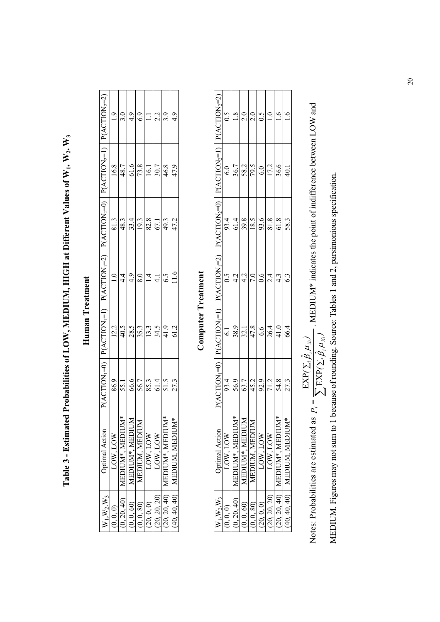Table 3 - Estimated Probabilities of LOW, MEDIUM, HIGH at Different Values of W<sub>1</sub>, W<sub>2</sub>, W<sub>3</sub> **Table 3 - Estimated Probabilities of LOW, MEDIUM, HIGH at Different Values of W1, W2, W3**

| $P(ACTION2=2)$                  |         |                              |                            | $\frac{19}{10}$ $\frac{9}{49}$ | $\ensuremath{\mathop{\boxplus}}$                              | 2.2        | $rac{3.9}{4.9}$                |                                        |
|---------------------------------|---------|------------------------------|----------------------------|--------------------------------|---------------------------------------------------------------|------------|--------------------------------|----------------------------------------|
| $P(ACTION2=1)$                  |         |                              |                            |                                | $\frac{16.8}{48.7}$                                           |            |                                |                                        |
| $P(ACTION2=0)$                  |         |                              |                            |                                | $\frac{813}{8914}$                                            |            |                                | 47.2                                   |
| $P(ACTION_1=1)$ $P(ACTION_1=2)$ |         |                              |                            |                                | $\frac{1}{4} \frac{1}{4} \frac{1}{9} \frac{1}{9} \frac{1}{4}$ |            | $\frac{4.1}{6.5}$              | 11.6                                   |
|                                 |         |                              |                            |                                | $\frac{12}{405} \frac{1}{28} \frac{1}{25} \frac{1}{25}$       |            | $rac{34.5}{41.9}$              | 61.2                                   |
| $P(ACTION_1=0)$                 |         |                              |                            |                                | $\frac{869}{5510} = \frac{1}{25}$                             |            |                                | 27.3                                   |
| <b>Optimal Action</b>           | 10W,10W | $\zeta$<br>  MEDIUM*, MEDIUI | ⊠<br><b>MEDIUM*, MEDIU</b> | MEDIUM, MEDIUI                 | LOW, LOW                                                      | LOW, LOW   | $\zeta^*$<br>I MEDIUM*, MEDIUI | $*$<br>$(40, 40, 40)$   MEDIUM, MEDIUN |
| $N_1$ , $W_2$ , $W_3$           |         |                              | 0, 0, 60                   | 0, 0, 80                       | (0, 0, 0)                                                     | 20, 20, 20 | 20, 20, 40                     |                                        |

# Human Treatment **Human Treatment**

# **Computer Treatment Computer Treatment**

| $P(ACTION2=2)$                           |          |                      | $S =  S  \ge  S  \ge  S  \ge  S $                                                                                                           |                |           |              |                      |                             |
|------------------------------------------|----------|----------------------|---------------------------------------------------------------------------------------------------------------------------------------------|----------------|-----------|--------------|----------------------|-----------------------------|
| $P(ACTION2=1)$                           |          |                      | $\frac{60}{36.7} \frac{8}{38.2} \frac{1}{29} \frac{1}{60} \frac{1}{29} \frac{1}{29} \frac{1}{29} \frac{1}{29}$                              |                |           |              |                      |                             |
| $P(\text{ACTION}_2=0)$                   |          |                      | $\frac{314}{38} = \frac{1}{28}$                                                                                                             |                |           |              |                      |                             |
| $P(\text{ACTION}_{1}=2)$                 |          |                      | $\frac{1}{2}$ $\frac{1}{2}$ $\frac{1}{2}$ $\frac{1}{2}$ $\frac{1}{2}$ $\frac{1}{2}$ $\frac{1}{2}$ $\frac{1}{2}$ $\frac{1}{2}$ $\frac{1}{2}$ |                |           |              |                      | 6.3                         |
| $(ACTION1=1)$                            |          |                      | $rac{61}{\frac{89}{321}}$                                                                                                                   |                |           |              |                      |                             |
| $(ACTION_1=0)$                           |          |                      | $\frac{93.4}{56.9}$                                                                                                                         |                |           |              |                      | 27.3                        |
| <b>Optimal Action</b>                    | LOW, LOW | ∗<br>MEDIUM*, MEDIUM | MEDIUM*, MEDIUM                                                                                                                             | MEDIUM, MEDIUM | LOW, LOW  | LOW, LOW     | ₩<br>MEDIUM*, MEDIUM | 40.40.40)   MEDIUM. MEDIUM* |
| $\mathsf{W}_1,\mathsf{W}_2,\mathsf{W}_3$ | 0,0,0    | 0, 20, 40            | (0,0,60)                                                                                                                                    | (0, 0, 80)     | (0, 0, 0) | (20, 20, 20) | (20, 20, 40)         |                             |

Notes: Probabilities are estimated as  $P_i = \frac{\text{EXP}(\Sigma_i \hat{\beta}_i \mu_{Xi})}{\sum \text{EXP}(\Sigma_i \hat{\beta}_i \mu_{Xi})}$ . MEDIUM\* indicates the point of indifference between LOW and MEDIUM Figures may not sum to 1 because of rounding Source: Tables 1 and Notes: Probabilities are estimated as  $P_i = \frac{\text{EXP}(\Sigma_i \hat{\beta}_i \mu_{\text{X}i})}{\sum \text{EXP}(\Sigma_i \hat{\beta}_i \mu_{\text{X}i})}$ . MEDIUM\* indicates the point of indifference between LOW and

MEDIUM. Figures may not sum to 1 because of rounding. Source: Tables 1 and 2, parsimonious specification. MEDIUM. Figures may not sum to 1 because of rounding. Source: Tables 1 and 2, parsimonious specification.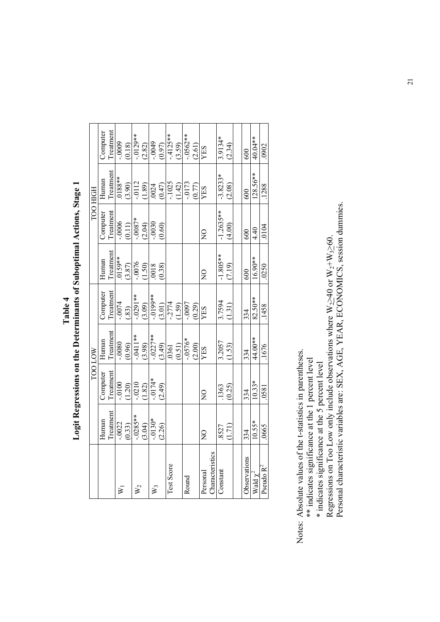| TOO HIGH | Computer<br>Human<br>Computer | Treatment<br>Treatment<br>Treatment | $-00009$<br>$0.188**$<br>$-0006$ | (0.18)<br>(3.90) | $.0129**$<br>$-0112$<br>$-0.087*$ | (2.82)<br>(1.89) | $-0049$<br>0024<br>$-0030$ | (0.97)<br>(0.47) | $-4125**$<br>$-1025$ | (3.59)<br>(1.42) | $-0.562**$<br>$-0173$ | (2.61)<br>(0.77) | <b>SHA</b><br>YES |                 | 3.9134*<br>$-3.8233*$<br>$-1.2635**$ | (2.34)<br>(2.08) | 600<br>600   |               | 40.04**<br>$128.56**$ |
|----------|-------------------------------|-------------------------------------|----------------------------------|------------------|-----------------------------------|------------------|----------------------------|------------------|----------------------|------------------|-----------------------|------------------|-------------------|-----------------|--------------------------------------|------------------|--------------|---------------|-----------------------|
|          |                               |                                     |                                  | (0.11)           |                                   | (2.04)           |                            | (0.60)           |                      |                  |                       |                  | $\overline{2}$    |                 |                                      | (4.00)           | 600          | 4.40          | .0104                 |
|          | Human                         | Treatment                           | $0159**$                         | (3.87)           | $-0076$                           | (1.50)           | .0018                      | (0.38)           |                      |                  |                       |                  | $\frac{1}{2}$     |                 | $-1.805**$                           | (7.19)           | 600          | $16.90**$     |                       |
|          | Computer                      | Treatment                           | $-0074$                          | (.83)            | $-0291**$                         | (3.09)           | $-0199**$                  | (3.01)           | $-2774$              | (1.59)           | $-0.0097$             | (0.29)           | <b>SHA</b>        |                 | 3.7594                               | (1.31)           | 334          | 82.50**       |                       |
| TOO LOW  | Human                         | Treatment                           | $-0080$                          | (0.96)           | $-.0411**$                        | (3.98)           | $-0227**$                  | (3.49)           | .0361                | (0.51)           | $*9L50 -$             | (2.00)           | <b>SHA</b>        |                 | 3.2057                               | (1.53)           | 334          | 44.00**       |                       |
|          | Computer                      | <b>Treatment</b>                    | $-0100$                          | (1.20)           | $-0210$                           | (1.82)           | $-0174*$                   | (2.49)           |                      |                  |                       |                  | $\frac{0}{2}$     |                 | .1363                                | (0.25)           | 334          | $10.33*$      |                       |
|          | Human                         | Treatment                           | $-0.0022$                        | (0.33)           | $-.0285**$                        | (3.04)           | $-0130*$                   | (2.26)           |                      |                  |                       |                  | $\overline{2}$    |                 | 8527                                 | (1.71)           | 334          | 10.55*        |                       |
|          |                               |                                     | ⋝                                |                  | $W_2$                             |                  | $W_3$                      |                  | Test Score           |                  | Round                 |                  | Personal          | Characteristics | Constant                             |                  | Observations | Wald $\chi^2$ |                       |

**Logit Regressions on the Determinants of Suboptimal Actions, Stage 1**  Logit Regressions on the Determinants of Suboptimal Actions, Stage 1 **Table 4** 

Notes: Absolute values of the t-statistics in parentheses. Notes: Absolute values of the t-statistics in parentheses.

\*\* indicates significance at the 1 percent level \*\* indicates significance at the 1 percent level

\* indicates significance at the 5 percent level \* indicates significance at the 5 percent level

Personal characteristic variables are: SEX, AGE, YEAR, ECONOMICS, session dummies. Regressions on Too Low only include observations where  $W_2 \ge 40$  or  $W_2 + W_3 \ge 60$ .<br>Personal characteristic variables are: SEX, AGE, YEAR, ECONOMICS, session dummies. Regressions on Too Low only include observations where  $W_2\succeq 40$  or  $W_3\succeq 60$ .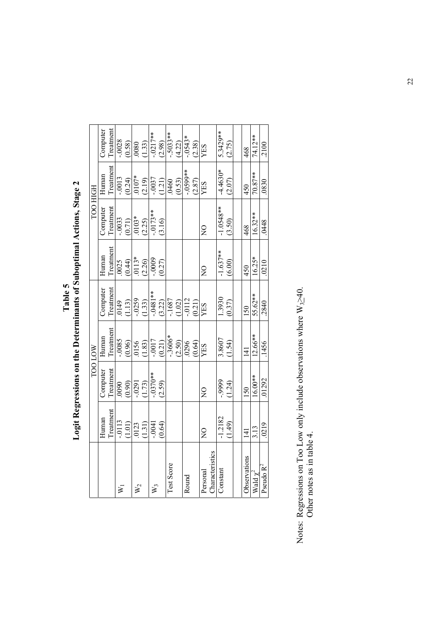|                      |                                                                      | <b>NOTOOL</b>      |                                                                                                             |                                              |                                                                                                           | <b>FOO HIGH</b>                                                                                             |                                                                                             |                                       |
|----------------------|----------------------------------------------------------------------|--------------------|-------------------------------------------------------------------------------------------------------------|----------------------------------------------|-----------------------------------------------------------------------------------------------------------|-------------------------------------------------------------------------------------------------------------|---------------------------------------------------------------------------------------------|---------------------------------------|
|                      | Human                                                                | Computer           | Human                                                                                                       |                                              | Human                                                                                                     | Computer                                                                                                    | Human                                                                                       |                                       |
|                      | Treatment                                                            | Treatment          |                                                                                                             |                                              |                                                                                                           |                                                                                                             |                                                                                             | Computer<br>Treatment                 |
| $\bar{\mathsf{x}}_1$ |                                                                      |                    |                                                                                                             |                                              |                                                                                                           |                                                                                                             |                                                                                             |                                       |
|                      | $-0113$<br>(1.01)                                                    | $\frac{1}{(0.90)}$ |                                                                                                             | Computer<br>Treatment<br>$\frac{1}{0.0149}$  |                                                                                                           |                                                                                                             |                                                                                             | $-0.028$<br>$(0.58)$                  |
| $W_2$                |                                                                      |                    |                                                                                                             |                                              |                                                                                                           |                                                                                                             |                                                                                             |                                       |
|                      | $\begin{array}{c} (1.31) \\ (1.31) \\ (-0.64) \\ (0.64) \end{array}$ | $-0291$<br>(1.73)  | Treatment<br>$\frac{0.965}{0.0156}$<br>$\frac{0.96}{0.156}$<br>$\frac{0.83}{0.017}$<br>$\frac{0.33}{0.017}$ | $-0.0259$<br>(1.33)<br>$-0.0481**$<br>(3.22) | Treatment<br>$\frac{0.025}{0.013}$<br>$\frac{0.44}{0.113}$<br>$\frac{0.40}{0.20}$<br>$\frac{0.27}{0.027}$ | $\begin{array}{r}\n\text{Treatment} \\ \hline\n-0033 \\ \hline\n0.71 \\ 0103* \\ \hline\n2.25\n\end{array}$ | Treatment<br>$-0.0013$<br>$-0.24$<br>$0.0107$<br>$-0.037$<br>$-0.037$<br>$-0.037$<br>(1.21) | .0080<br>(1.33)<br>-.0217**<br>(2.98) |
| $W_3$                |                                                                      | $-0.0370**$        |                                                                                                             |                                              |                                                                                                           |                                                                                                             |                                                                                             |                                       |
|                      |                                                                      | (2.59)             |                                                                                                             |                                              |                                                                                                           | $-0.0173**$<br>(3.16)                                                                                       |                                                                                             |                                       |
| Test Score           |                                                                      |                    | $-3606*$                                                                                                    | $-1687$<br>(1.02)                            |                                                                                                           |                                                                                                             |                                                                                             | $-5033**$<br>  (4.22)                 |
|                      |                                                                      |                    | (2.50)                                                                                                      |                                              |                                                                                                           |                                                                                                             | 0460<br>0.53)                                                                               |                                       |

 $\mathbb{W}_1$ 

 $W_2$ 

 $W_3$ 

Round .0296

Round

Personal **Characteristics** 

Personal<br>Characteristics

Constant  $\vert -1.2182 \vert$ 

Constant

 $\frac{-1.2182}{(1.49)}$ 

-.9999 (1.24)

3.8607 (1.54)

1.3930 (0.37)

Observations 141 150 141 150 450 468 450 468  $Wald \chi^2$  3.13 16.00\*\* 16.06\*\* 55.62\*\* 16.25\* 16.32\*\* 70.87\*\* 74.12\*\* Pseudo R<sup>2</sup> .0219 .0219 .0210 .0210 .0210 .0210 .0210 .0210 .0210 .0210 .0210 .0210

141

150

141

Observations

150

-1.637\*\*  $-1.637**$ <br>(6.00)

-1.0548\*\*  $-1.0548**$ <br>(3.50)

-4.4630\* (2.07)

5.3429\*\*  $5.3429**$ <br>(2.75)

74.12\*\* .2100

70.87\*\* 0880

16.32\*\* .0448

 $16.25*$ 

55.62\*\* 0187.

 $12.66**$ 1456

 $16.00**$  $\frac{1}{292}$ 

.0219 3.13

Pseudo  $R^2$ 

Wald  $\chi^2$ 

468

450

468

450

 $\frac{10.64}{\text{YES}}$ 

ON

 $ON$ 

-.0112 (0.21)

NO NO YES YES NO NO YES YES

ON

 $\overline{Q}$ 

-.0599\*\*

 $\frac{1}{(2.87)}$ <br>(2.87)

-.0543\* (2.38)

Logit Regressions on the Determinants of Suboptimal Actions, Stage 2 **Logit Regressions on the Determinants of Suboptimal Actions, Stage 2**  Table 5 **Table 5** 

Notes: Regressions on Too Low only include observations where  $W_{3,2}$ 40. Notes: Regressions on Too Low only include observations where  $W_3 \ge 40$ .<br>Other notes as in table 4. Other notes as in table 4.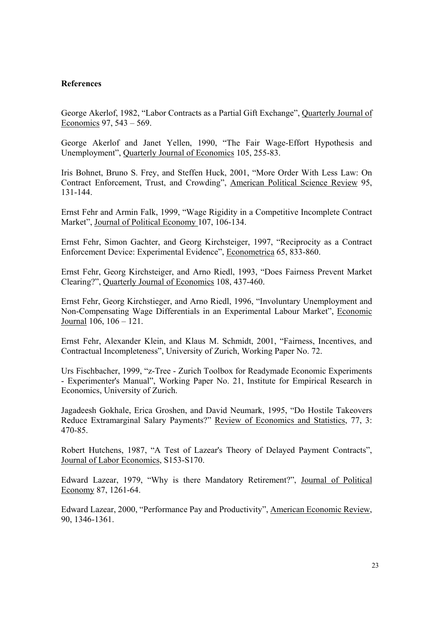# **References**

George Akerlof, 1982, "Labor Contracts as a Partial Gift Exchange", Quarterly Journal of Economics 97, 543 – 569.

George Akerlof and Janet Yellen, 1990, "The Fair Wage-Effort Hypothesis and Unemployment", Quarterly Journal of Economics 105, 255-83.

Iris Bohnet, Bruno S. Frey, and Steffen Huck, 2001, "More Order With Less Law: On Contract Enforcement, Trust, and Crowding", American Political Science Review 95, 131-144.

Ernst Fehr and Armin Falk, 1999, "Wage Rigidity in a Competitive Incomplete Contract Market", Journal of Political Economy 107, 106-134.

Ernst Fehr, Simon Gachter, and Georg Kirchsteiger, 1997, "Reciprocity as a Contract Enforcement Device: Experimental Evidence", Econometrica 65, 833-860.

Ernst Fehr, Georg Kirchsteiger, and Arno Riedl, 1993, "Does Fairness Prevent Market Clearing?", Quarterly Journal of Economics 108, 437-460.

Ernst Fehr, Georg Kirchstieger, and Arno Riedl, 1996, "Involuntary Unemployment and Non-Compensating Wage Differentials in an Experimental Labour Market", Economic Journal 106, 106 – 121.

Ernst Fehr, Alexander Klein, and Klaus M. Schmidt, 2001, "Fairness, Incentives, and Contractual Incompleteness", University of Zurich, Working Paper No. 72.

Urs Fischbacher, 1999, "z-Tree - Zurich Toolbox for Readymade Economic Experiments - Experimenter's Manual", Working Paper No. 21, Institute for Empirical Research in Economics, University of Zurich.

Jagadeesh Gokhale, Erica Groshen, and David Neumark, 1995, "Do Hostile Takeovers Reduce Extramarginal Salary Payments?" Review of Economics and Statistics, 77, 3: 470-85.

Robert Hutchens, 1987, "A Test of Lazear's Theory of Delayed Payment Contracts", Journal of Labor Economics, S153-S170.

Edward Lazear, 1979, "Why is there Mandatory Retirement?", Journal of Political Economy 87, 1261-64.

Edward Lazear, 2000, "Performance Pay and Productivity", American Economic Review, 90, 1346-1361.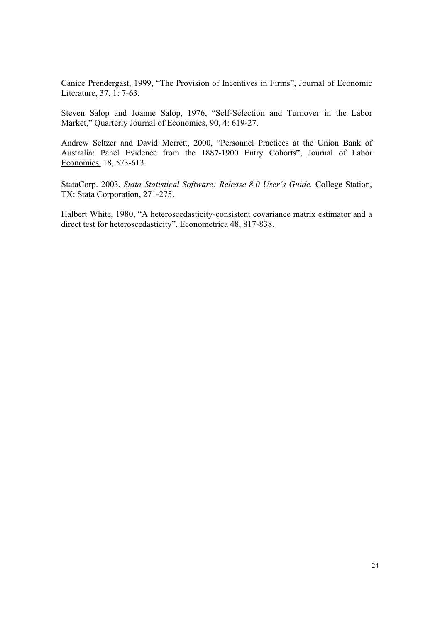Canice Prendergast, 1999, "The Provision of Incentives in Firms", Journal of Economic Literature, 37, 1: 7-63.

Steven Salop and Joanne Salop, 1976, "Self-Selection and Turnover in the Labor Market," Quarterly Journal of Economics, 90, 4: 619-27.

Andrew Seltzer and David Merrett, 2000, "Personnel Practices at the Union Bank of Australia: Panel Evidence from the 1887-1900 Entry Cohorts", Journal of Labor Economics, 18, 573-613.

StataCorp. 2003. *Stata Statistical Software: Release 8.0 User's Guide.* College Station, TX: Stata Corporation, 271-275.

Halbert White, 1980, "A heteroscedasticity-consistent covariance matrix estimator and a direct test for heteroscedasticity", Econometrica 48, 817-838.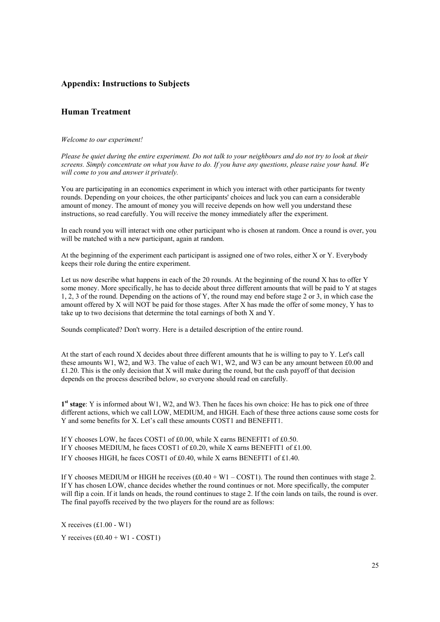## **Appendix: Instructions to Subjects**

## **Human Treatment**

### *Welcome to our experiment!*

*Please be quiet during the entire experiment. Do not talk to your neighbours and do not try to look at their screens. Simply concentrate on what you have to do. If you have any questions, please raise your hand. We will come to you and answer it privately.* 

You are participating in an economics experiment in which you interact with other participants for twenty rounds. Depending on your choices, the other participants' choices and luck you can earn a considerable amount of money. The amount of money you will receive depends on how well you understand these instructions, so read carefully. You will receive the money immediately after the experiment.

In each round you will interact with one other participant who is chosen at random. Once a round is over, you will be matched with a new participant, again at random.

At the beginning of the experiment each participant is assigned one of two roles, either X or Y. Everybody keeps their role during the entire experiment.

Let us now describe what happens in each of the 20 rounds. At the beginning of the round X has to offer Y some money. More specifically, he has to decide about three different amounts that will be paid to Y at stages 1, 2, 3 of the round. Depending on the actions of Y, the round may end before stage 2 or 3, in which case the amount offered by X will NOT be paid for those stages. After X has made the offer of some money, Y has to take up to two decisions that determine the total earnings of both X and Y.

Sounds complicated? Don't worry. Here is a detailed description of the entire round.

At the start of each round X decides about three different amounts that he is willing to pay to Y. Let's call these amounts W1, W2, and W3. The value of each W1, W2, and W3 can be any amount between £0.00 and  $£1.20$ . This is the only decision that X will make during the round, but the cash payoff of that decision depends on the process described below, so everyone should read on carefully.

**1st stage**: Y is informed about W1, W2, and W3. Then he faces his own choice: He has to pick one of three different actions, which we call LOW, MEDIUM, and HIGH. Each of these three actions cause some costs for Y and some benefits for X. Let's call these amounts COST1 and BENEFIT1.

If Y chooses LOW, he faces COST1 of £0.00, while X earns BENEFIT1 of £0.50. If Y chooses MEDIUM, he faces COST1 of £0.20, while X earns BENEFIT1 of £1.00. If Y chooses HIGH, he faces COST1 of £0.40, while X earns BENEFIT1 of £1.40.

If Y chooses MEDIUM or HIGH he receives  $(\text{\pounds}0.40 + \text{W1} - \text{COST1})$ . The round then continues with stage 2. If Y has chosen LOW, chance decides whether the round continues or not. More specifically, the computer will flip a coin. If it lands on heads, the round continues to stage 2. If the coin lands on tails, the round is over. The final payoffs received by the two players for the round are as follows:

X receives (£1.00 - W1) Y receives  $(f0.40 + W1 - COST1)$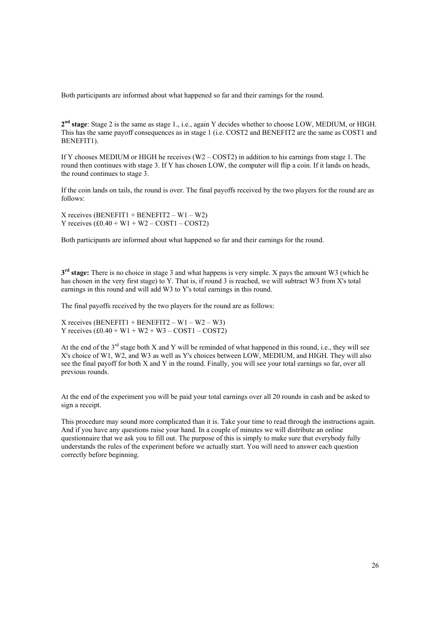Both participants are informed about what happened so far and their earnings for the round.

**2nd stage**: Stage 2 is the same as stage 1., i.e., again Y decides whether to choose LOW, MEDIUM, or HIGH. This has the same payoff consequences as in stage 1 (i.e. COST2 and BENEFIT2 are the same as COST1 and BENEFIT1).

If Y chooses MEDIUM or HIGH he receives (W2 – COST2) in addition to his earnings from stage 1. The round then continues with stage 3. If Y has chosen LOW, the computer will flip a coin. If it lands on heads, the round continues to stage 3.

If the coin lands on tails, the round is over. The final payoffs received by the two players for the round are as follows:

 $X$  receives (BENEFIT1 + BENEFIT2 – W1 – W2) Y receives  $(£0.40 + W1 + W2 - COST1 - COST2)$ 

Both participants are informed about what happened so far and their earnings for the round.

**3rd stage:** There is no choice in stage 3 and what happens is very simple. X pays the amount W3 (which he has chosen in the very first stage) to Y. That is, if round 3 is reached, we will subtract W3 from X's total earnings in this round and will add W3 to Y's total earnings in this round.

The final payoffs received by the two players for the round are as follows:

 $X$  receives (BENEFIT1 + BENEFIT2 – W1 – W2 – W3) Y receives  $(£0.40 + W1 + W2 + W3 - COST1 - COST2)$ 

At the end of the  $3<sup>rd</sup>$  stage both X and Y will be reminded of what happened in this round, i.e., they will see X's choice of W1, W2, and W3 as well as Y's choices between LOW, MEDIUM, and HIGH. They will also see the final payoff for both X and Y in the round. Finally, you will see your total earnings so far, over all previous rounds.

At the end of the experiment you will be paid your total earnings over all 20 rounds in cash and be asked to sign a receipt.

This procedure may sound more complicated than it is. Take your time to read through the instructions again. And if you have any questions raise your hand. In a couple of minutes we will distribute an online questionnaire that we ask you to fill out. The purpose of this is simply to make sure that everybody fully understands the rules of the experiment before we actually start. You will need to answer each question correctly before beginning.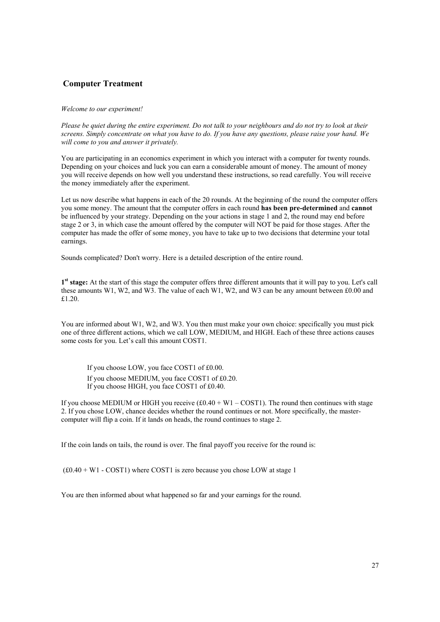## **Computer Treatment**

## *Welcome to our experiment!*

*Please be quiet during the entire experiment. Do not talk to your neighbours and do not try to look at their screens. Simply concentrate on what you have to do. If you have any questions, please raise your hand. We will come to you and answer it privately.* 

You are participating in an economics experiment in which you interact with a computer for twenty rounds. Depending on your choices and luck you can earn a considerable amount of money. The amount of money you will receive depends on how well you understand these instructions, so read carefully. You will receive the money immediately after the experiment.

Let us now describe what happens in each of the 20 rounds. At the beginning of the round the computer offers you some money. The amount that the computer offers in each round **has been pre-determined** and **cannot** be influenced by your strategy. Depending on the your actions in stage 1 and 2, the round may end before stage 2 or 3, in which case the amount offered by the computer will NOT be paid for those stages. After the computer has made the offer of some money, you have to take up to two decisions that determine your total earnings.

Sounds complicated? Don't worry. Here is a detailed description of the entire round.

**1st stage:** At the start of this stage the computer offers three different amounts that it will pay to you. Let's call these amounts W1, W2, and W3. The value of each W1, W2, and W3 can be any amount between £0.00 and £1.20.

You are informed about W1, W2, and W3. You then must make your own choice: specifically you must pick one of three different actions, which we call LOW, MEDIUM, and HIGH. Each of these three actions causes some costs for you. Let's call this amount COST1.

If you choose LOW, you face COST1 of £0.00. If you choose MEDIUM, you face COST1 of £0.20. If you choose HIGH, you face COST1 of £0.40.

If you choose MEDIUM or HIGH you receive  $(£0.40 + W1 - COST1)$ . The round then continues with stage 2. If you chose LOW, chance decides whether the round continues or not. More specifically, the mastercomputer will flip a coin. If it lands on heads, the round continues to stage 2.

If the coin lands on tails, the round is over. The final payoff you receive for the round is:

 $(£0.40 + W1 - COST1)$  where COST1 is zero because you chose LOW at stage 1

You are then informed about what happened so far and your earnings for the round.